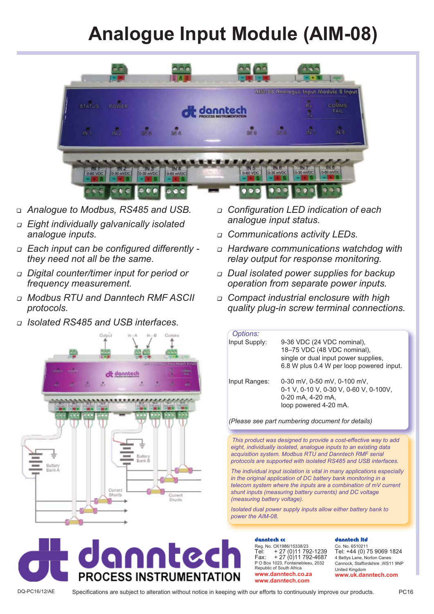## **Analogue Input Module (AIM-08)**



- 1 *Analogue to Modbus, RS485 and USB.*
- <sup>1</sup> *Eight individually galvanically isolated analogue inputs.*
- <sup>1</sup> *Each input can be configured differently they need not all be the same.*
- <sup>1</sup> *Digital counter/timer input for period or frequency measurement.*
- <sup>1</sup> *Modbus RTU and Danntech RMF ASCII protocols.*
- <sup>1</sup> *Isolated RS485 and USB interfaces.*



- <sup>1</sup> *Configuration LED indication of each analogue input status.*
- <sup>1</sup> *Communications activity LEDs.*
- <sup>1</sup> *Hardware communications watchdog with relay output for response monitoring.*
- <sup>1</sup> *Dual isolated power supplies for backup operation from separate power inputs.*
- <sup>1</sup> *Compact industrial enclosure with high quality plug-in screw terminal connections.*

| Options:      |                                          |
|---------------|------------------------------------------|
| Input Supply: | 9-36 VDC (24 VDC nominal),               |
|               | 18-75 VDC (48 VDC nominal),              |
|               | single or dual input power supplies,     |
|               | 6.8 W plus 0.4 W per loop powered input. |
| Input Ranges: | $0-30$ mV, $0-50$ mV, $0-100$ mV,        |
|               | 0-1 V, 0-10 V, 0-30 V, 0-60 V, 0-100V,   |
|               | 0-20 mA, 4-20 mA,                        |
|               | loop powered 4-20 mA.                    |
|               |                                          |

*(Please see part numbering document for details)*

*This product was designed to provide a cost-effective way to add eight, individually isolated, analogue inputs to an existing data acquisition system. Modbus RTU and Danntech RMF serial protocols are supported with isolated RS485 and USB interfaces.* 

*The individual input isolation is vital in many applications especially in the original application of DC battery bank monitoring in a telecom system where the inputs are a combination of mV current shunt inputs (measuring battery currents) and DC voltage (measuring battery voltage).*

*Isolated dual power supply inputs allow either battery bank to power the AIM-08.*

## T. **PROCESS INSTRUMENTATION**

danntech cc Reg. No. CK1986/15338/23 Tel: + 27 (0)11 792-1239 Fax: + 27 (0)11 792-4687 P O Box 1023, Fontainebleau, 2032 Republic of South Africa **www.danntech.co.za www.danntech.com**

## danntech ltd

Co. No. 6510211 Tel: +44 (0) 75 9069 1824 4 Bettys Lane, Norton Canes Cannock, Staffordshire ,WS11 9NP United Kingdom **www.uk.danntech.com**